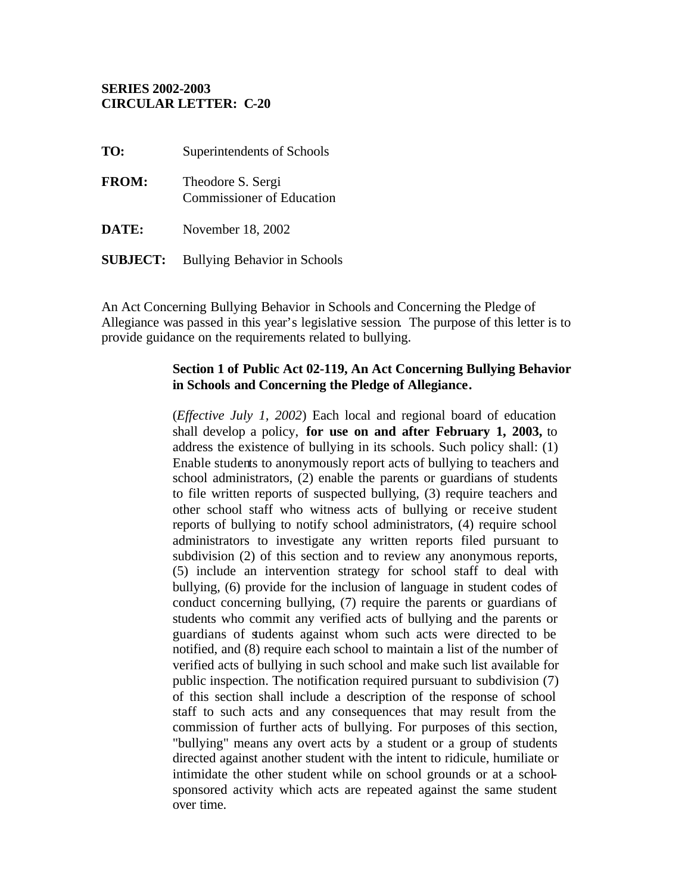#### **SERIES 2002-2003 CIRCULAR LETTER: C-20**

| TO:          | Superintendents of Schools                            |
|--------------|-------------------------------------------------------|
| <b>FROM:</b> | Theodore S. Sergi<br><b>Commissioner of Education</b> |
| DATE:        | November 18, 2002                                     |

**SUBJECT:** Bullying Behavior in Schools

An Act Concerning Bullying Behavior in Schools and Concerning the Pledge of Allegiance was passed in this year's legislative session. The purpose of this letter is to provide guidance on the requirements related to bullying.

#### **Section 1 of Public Act 02-119, An Act Concerning Bullying Behavior in Schools and Concerning the Pledge of Allegiance.**

(*Effective July 1, 2002*) Each local and regional board of education shall develop a policy, **for use on and after February 1, 2003,** to address the existence of bullying in its schools. Such policy shall: (1) Enable students to anonymously report acts of bullying to teachers and school administrators, (2) enable the parents or guardians of students to file written reports of suspected bullying, (3) require teachers and other school staff who witness acts of bullying or receive student reports of bullying to notify school administrators, (4) require school administrators to investigate any written reports filed pursuant to subdivision (2) of this section and to review any anonymous reports, (5) include an intervention strategy for school staff to deal with bullying, (6) provide for the inclusion of language in student codes of conduct concerning bullying, (7) require the parents or guardians of students who commit any verified acts of bullying and the parents or guardians of students against whom such acts were directed to be notified, and (8) require each school to maintain a list of the number of verified acts of bullying in such school and make such list available for public inspection. The notification required pursuant to subdivision (7) of this section shall include a description of the response of school staff to such acts and any consequences that may result from the commission of further acts of bullying. For purposes of this section, "bullying" means any overt acts by a student or a group of students directed against another student with the intent to ridicule, humiliate or intimidate the other student while on school grounds or at a schoolsponsored activity which acts are repeated against the same student over time.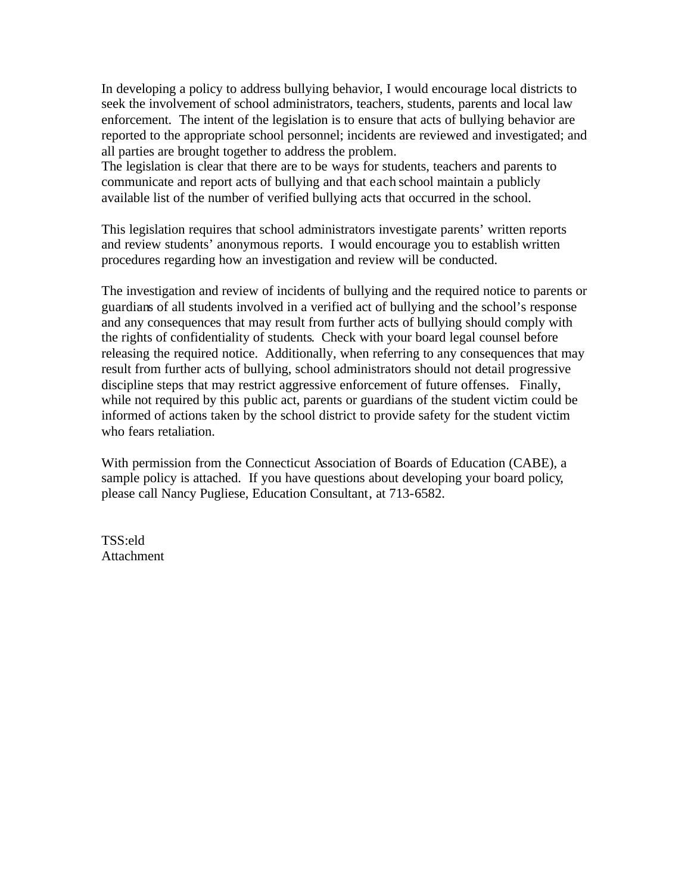In developing a policy to address bullying behavior, I would encourage local districts to seek the involvement of school administrators, teachers, students, parents and local law enforcement. The intent of the legislation is to ensure that acts of bullying behavior are reported to the appropriate school personnel; incidents are reviewed and investigated; and all parties are brought together to address the problem.

The legislation is clear that there are to be ways for students, teachers and parents to communicate and report acts of bullying and that each school maintain a publicly available list of the number of verified bullying acts that occurred in the school.

This legislation requires that school administrators investigate parents' written reports and review students' anonymous reports. I would encourage you to establish written procedures regarding how an investigation and review will be conducted.

The investigation and review of incidents of bullying and the required notice to parents or guardians of all students involved in a verified act of bullying and the school's response and any consequences that may result from further acts of bullying should comply with the rights of confidentiality of students. Check with your board legal counsel before releasing the required notice. Additionally, when referring to any consequences that may result from further acts of bullying, school administrators should not detail progressive discipline steps that may restrict aggressive enforcement of future offenses. Finally, while not required by this public act, parents or guardians of the student victim could be informed of actions taken by the school district to provide safety for the student victim who fears retaliation.

With permission from the Connecticut Association of Boards of Education (CABE), a sample policy is attached. If you have questions about developing your board policy, please call Nancy Pugliese, Education Consultant, at 713-6582.

TSS:eld **Attachment**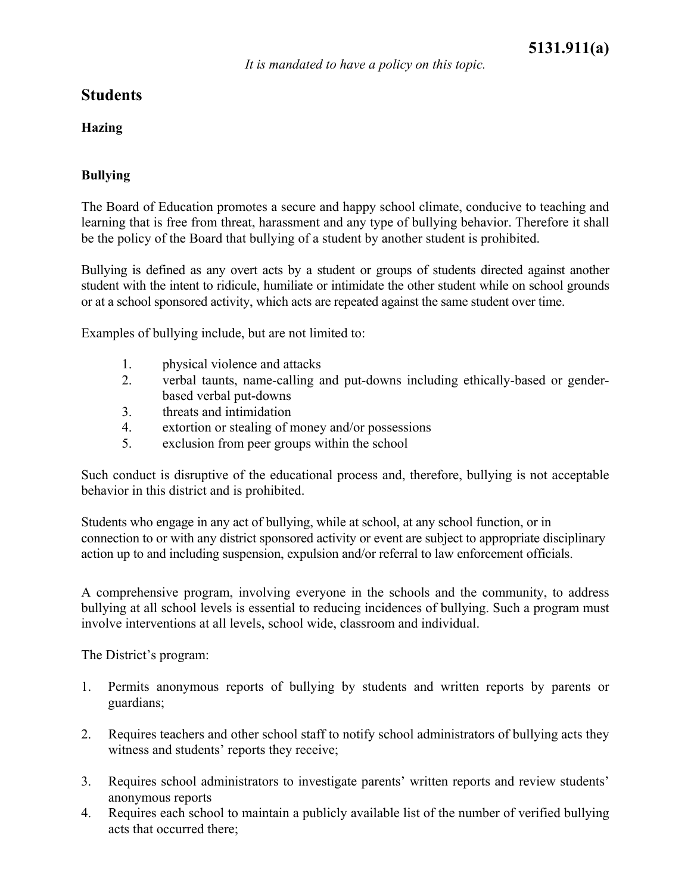## **Hazing**

## **Bullying**

The Board of Education promotes a secure and happy school climate, conducive to teaching and learning that is free from threat, harassment and any type of bullying behavior. Therefore it shall be the policy of the Board that bullying of a student by another student is prohibited.

Bullying is defined as any overt acts by a student or groups of students directed against another student with the intent to ridicule, humiliate or intimidate the other student while on school grounds or at a school sponsored activity, which acts are repeated against the same student over time.

Examples of bullying include, but are not limited to:

- 1. physical violence and attacks
- 2. verbal taunts, name-calling and put-downs including ethically-based or genderbased verbal put-downs
- 3. threats and intimidation
- 4. extortion or stealing of money and/or possessions
- 5. exclusion from peer groups within the school

Such conduct is disruptive of the educational process and, therefore, bullying is not acceptable behavior in this district and is prohibited.

Students who engage in any act of bullying, while at school, at any school function, or in connection to or with any district sponsored activity or event are subject to appropriate disciplinary action up to and including suspension, expulsion and/or referral to law enforcement officials.

A comprehensive program, involving everyone in the schools and the community, to address bullying at all school levels is essential to reducing incidences of bullying. Such a program must involve interventions at all levels, school wide, classroom and individual.

The District's program:

- 1. Permits anonymous reports of bullying by students and written reports by parents or guardians;
- 2. Requires teachers and other school staff to notify school administrators of bullying acts they witness and students' reports they receive;
- 3. Requires school administrators to investigate parents' written reports and review students' anonymous reports
- 4. Requires each school to maintain a publicly available list of the number of verified bullying acts that occurred there;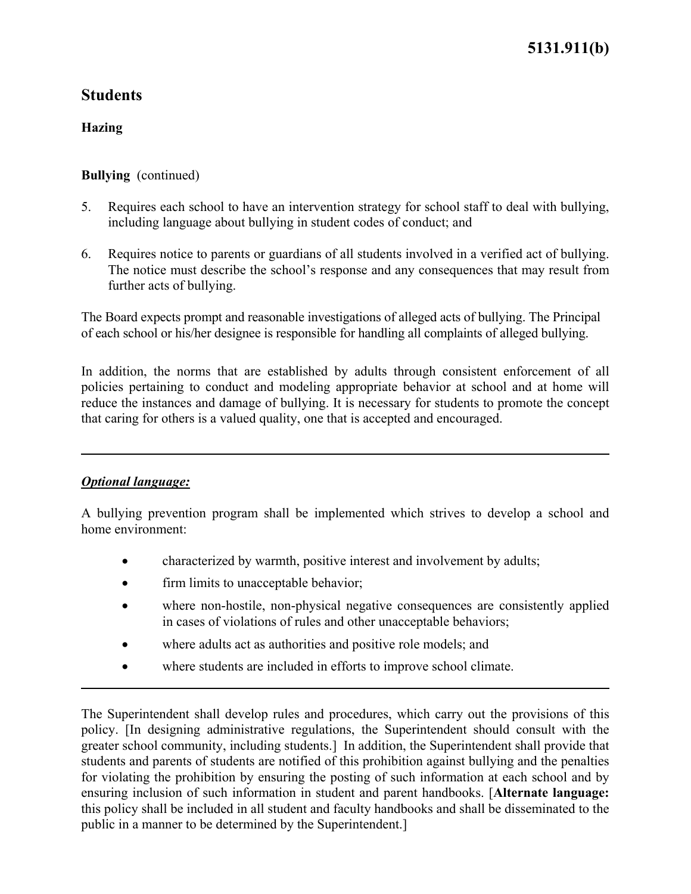# **5131.911(b)**

## **Students**

### **Hazing**

#### **Bullying** (continued)

- 5. Requires each school to have an intervention strategy for school staff to deal with bullying, including language about bullying in student codes of conduct; and
- 6. Requires notice to parents or guardians of all students involved in a verified act of bullying. The notice must describe the school's response and any consequences that may result from further acts of bullying.

The Board expects prompt and reasonable investigations of alleged acts of bullying. The Principal of each school or his/her designee is responsible for handling all complaints of alleged bullying.

In addition, the norms that are established by adults through consistent enforcement of all policies pertaining to conduct and modeling appropriate behavior at school and at home will reduce the instances and damage of bullying. It is necessary for students to promote the concept that caring for others is a valued quality, one that is accepted and encouraged.

#### *Optional language:*

A bullying prevention program shall be implemented which strives to develop a school and home environment:

- characterized by warmth, positive interest and involvement by adults;
- firm limits to unacceptable behavior;
- where non-hostile, non-physical negative consequences are consistently applied in cases of violations of rules and other unacceptable behaviors;
- where adults act as authorities and positive role models; and
- where students are included in efforts to improve school climate.

The Superintendent shall develop rules and procedures, which carry out the provisions of this policy. [In designing administrative regulations, the Superintendent should consult with the greater school community, including students.] In addition, the Superintendent shall provide that students and parents of students are notified of this prohibition against bullying and the penalties for violating the prohibition by ensuring the posting of such information at each school and by ensuring inclusion of such information in student and parent handbooks. [**Alternate language:**  this policy shall be included in all student and faculty handbooks and shall be disseminated to the public in a manner to be determined by the Superintendent.]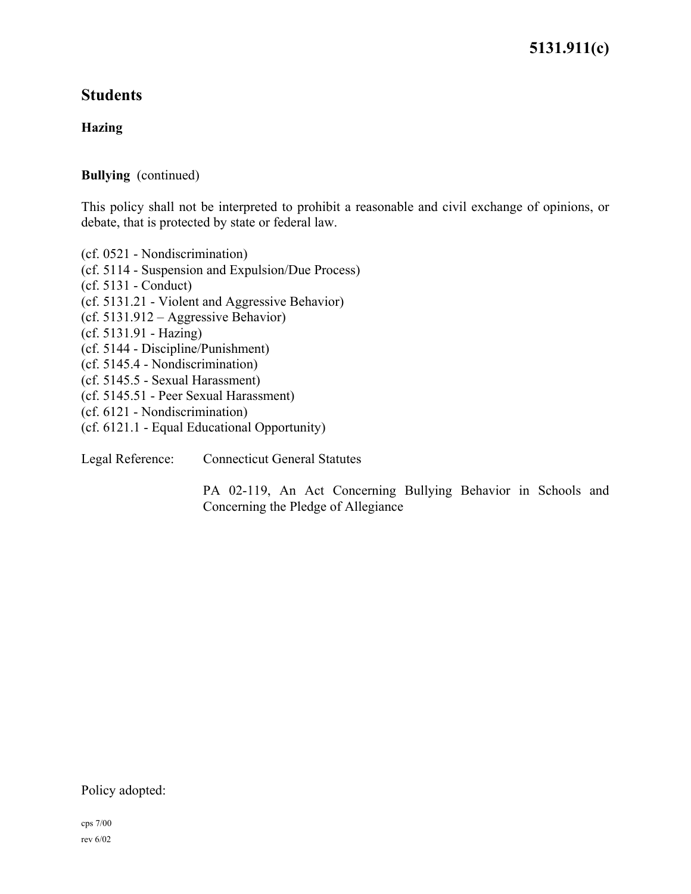**5131.911(c)** 

## **Students**

## **Hazing**

### **Bullying** (continued)

This policy shall not be interpreted to prohibit a reasonable and civil exchange of opinions, or debate, that is protected by state or federal law.

(cf. 0521 - Nondiscrimination) (cf. 5114 - Suspension and Expulsion/Due Process) (cf. 5131 - Conduct) (cf. 5131.21 - Violent and Aggressive Behavior) (cf. 5131.912 – Aggressive Behavior) (cf. 5131.91 - Hazing) (cf. 5144 - Discipline/Punishment) (cf. 5145.4 - Nondiscrimination) (cf. 5145.5 - Sexual Harassment) (cf. 5145.51 - Peer Sexual Harassment) (cf. 6121 - Nondiscrimination) (cf. 6121.1 - Equal Educational Opportunity)

Legal Reference: Connecticut General Statutes

PA 02-119, An Act Concerning Bullying Behavior in Schools and Concerning the Pledge of Allegiance

Policy adopted: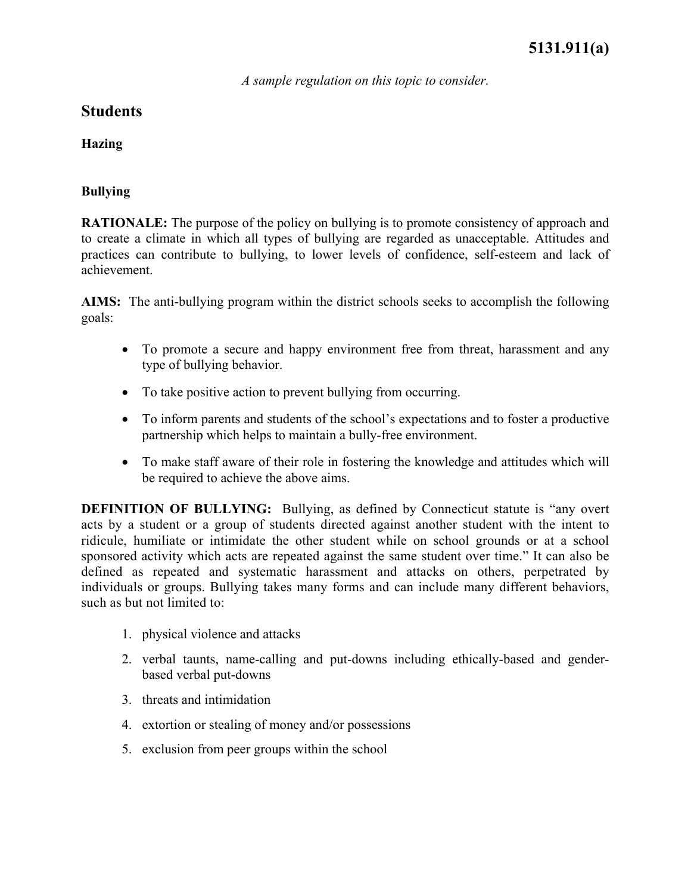*A sample regulation on this topic to consider.*

## **Students**

**Hazing** 

## **Bullying**

**RATIONALE:** The purpose of the policy on bullying is to promote consistency of approach and to create a climate in which all types of bullying are regarded as unacceptable. Attitudes and practices can contribute to bullying, to lower levels of confidence, self-esteem and lack of achievement.

**AIMS:** The anti-bullying program within the district schools seeks to accomplish the following goals:

- To promote a secure and happy environment free from threat, harassment and any type of bullying behavior.
- To take positive action to prevent bullying from occurring.
- To inform parents and students of the school's expectations and to foster a productive partnership which helps to maintain a bully-free environment.
- To make staff aware of their role in fostering the knowledge and attitudes which will be required to achieve the above aims.

**DEFINITION OF BULLYING:** Bullying, as defined by Connecticut statute is "any overt acts by a student or a group of students directed against another student with the intent to ridicule, humiliate or intimidate the other student while on school grounds or at a school sponsored activity which acts are repeated against the same student over time." It can also be defined as repeated and systematic harassment and attacks on others, perpetrated by individuals or groups. Bullying takes many forms and can include many different behaviors, such as but not limited to:

- 1. physical violence and attacks
- 2. verbal taunts, name-calling and put-downs including ethically-based and genderbased verbal put-downs
- 3. threats and intimidation
- 4. extortion or stealing of money and/or possessions
- 5. exclusion from peer groups within the school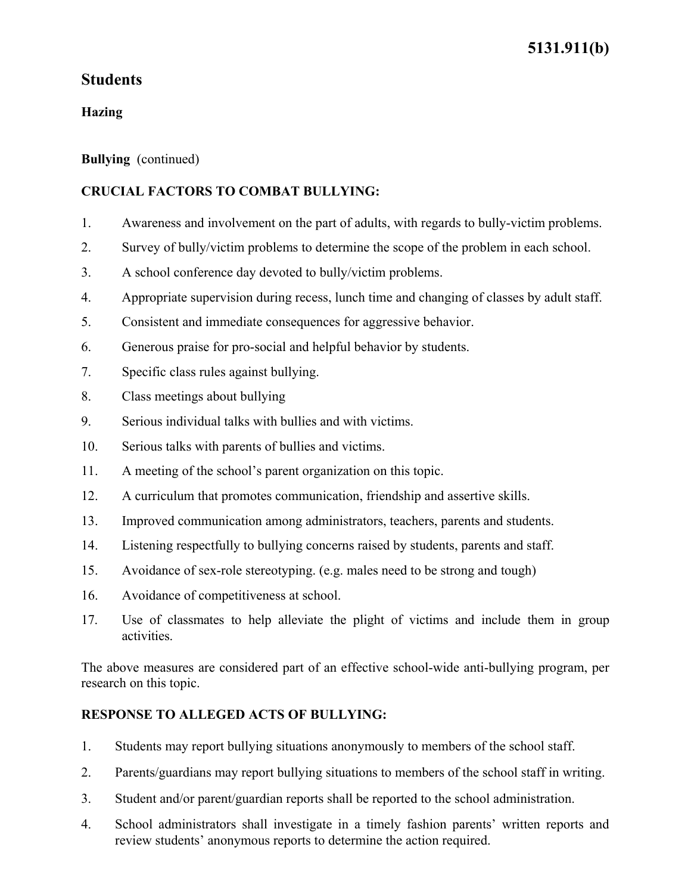## **Hazing**

### **Bullying** (continued)

## **CRUCIAL FACTORS TO COMBAT BULLYING:**

- 1. Awareness and involvement on the part of adults, with regards to bully-victim problems.
- 2. Survey of bully/victim problems to determine the scope of the problem in each school.
- 3. A school conference day devoted to bully/victim problems.
- 4. Appropriate supervision during recess, lunch time and changing of classes by adult staff.
- 5. Consistent and immediate consequences for aggressive behavior.
- 6. Generous praise for pro-social and helpful behavior by students.
- 7. Specific class rules against bullying.
- 8. Class meetings about bullying
- 9. Serious individual talks with bullies and with victims.
- 10. Serious talks with parents of bullies and victims.
- 11. A meeting of the school's parent organization on this topic.
- 12. A curriculum that promotes communication, friendship and assertive skills.
- 13. Improved communication among administrators, teachers, parents and students.
- 14. Listening respectfully to bullying concerns raised by students, parents and staff.
- 15. Avoidance of sex-role stereotyping. (e.g. males need to be strong and tough)
- 16. Avoidance of competitiveness at school.
- 17. Use of classmates to help alleviate the plight of victims and include them in group activities.

The above measures are considered part of an effective school-wide anti-bullying program, per research on this topic.

## **RESPONSE TO ALLEGED ACTS OF BULLYING:**

- 1. Students may report bullying situations anonymously to members of the school staff.
- 2. Parents/guardians may report bullying situations to members of the school staff in writing.
- 3. Student and/or parent/guardian reports shall be reported to the school administration.
- 4. School administrators shall investigate in a timely fashion parents' written reports and review students' anonymous reports to determine the action required.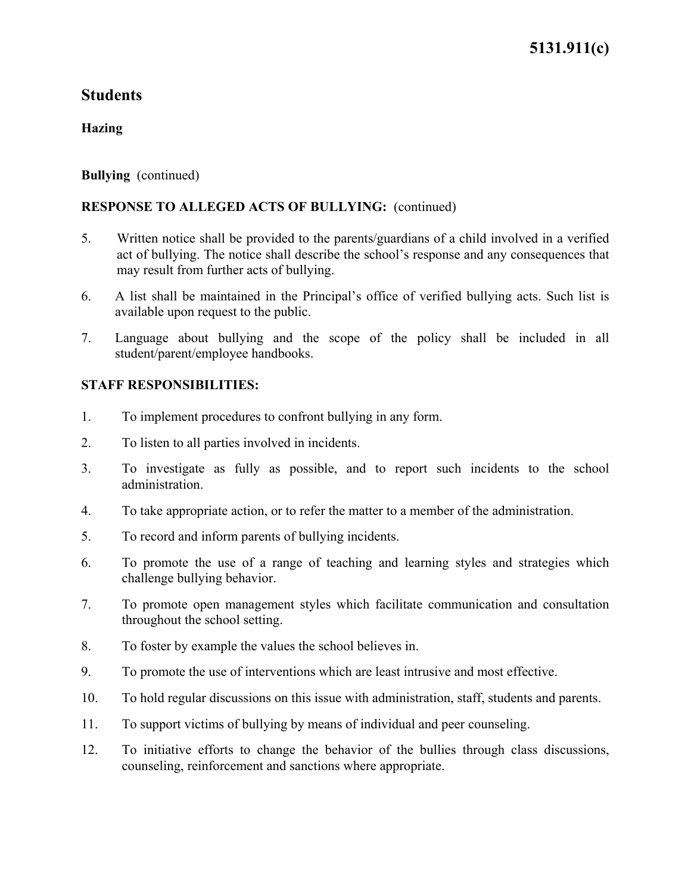#### **Hazing**

#### **Bullying** (continued)

### **RESPONSE TO ALLEGED ACTS OF BULLYING:** (continued)

- 5. Written notice shall be provided to the parents/guardians of a child involved in a verified act of bullying. The notice shall describe the school's response and any consequences that may result from further acts of bullying.
- 6. A list shall be maintained in the Principal's office of verified bullying acts. Such list is available upon request to the public.
- 7. Language about bullying and the scope of the policy shall be included in all student/parent/employee handbooks.

### **STAFF RESPONSIBILITIES:**

- 1. To implement procedures to confront bullying in any form.
- 2. To listen to all parties involved in incidents.
- 3. To investigate as fully as possible, and to report such incidents to the school administration.
- 4. To take appropriate action, or to refer the matter to a member of the administration.
- 5. To record and inform parents of bullying incidents.
- 6. To promote the use of a range of teaching and learning styles and strategies which challenge bullying behavior.
- 7. To promote open management styles which facilitate communication and consultation throughout the school setting.
- 8. To foster by example the values the school believes in.
- 9. To promote the use of interventions which are least intrusive and most effective.
- 10. To hold regular discussions on this issue with administration, staff, students and parents.
- 11. To support victims of bullying by means of individual and peer counseling.
- 12. To initiative efforts to change the behavior of the bullies through class discussions, counseling, reinforcement and sanctions where appropriate.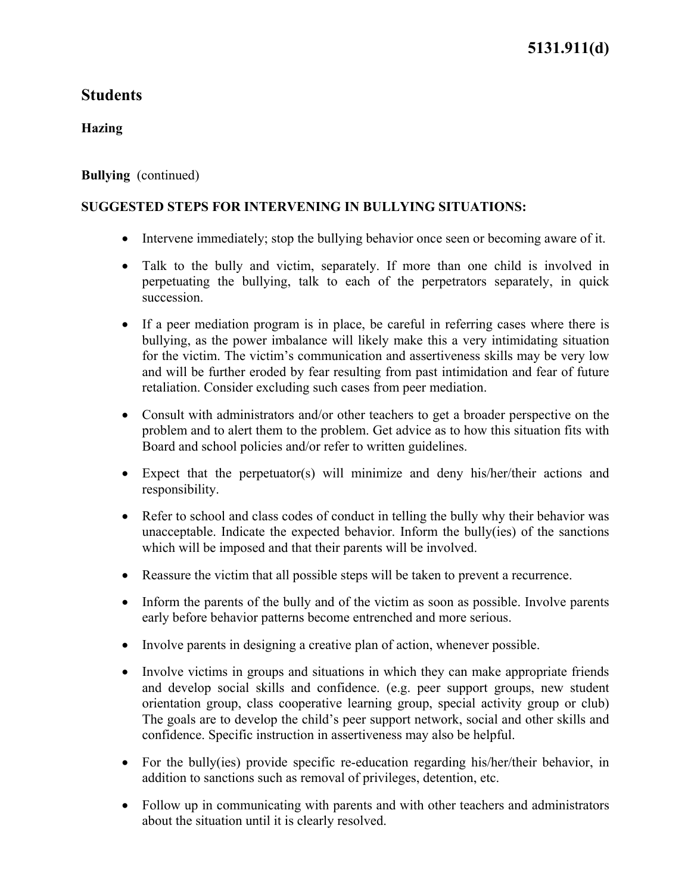#### **Hazing**

#### **Bullying** (continued)

#### **SUGGESTED STEPS FOR INTERVENING IN BULLYING SITUATIONS:**

- Intervene immediately; stop the bullying behavior once seen or becoming aware of it.
- Talk to the bully and victim, separately. If more than one child is involved in perpetuating the bullying, talk to each of the perpetrators separately, in quick succession.
- If a peer mediation program is in place, be careful in referring cases where there is bullying, as the power imbalance will likely make this a very intimidating situation for the victim. The victim's communication and assertiveness skills may be very low and will be further eroded by fear resulting from past intimidation and fear of future retaliation. Consider excluding such cases from peer mediation.
- Consult with administrators and/or other teachers to get a broader perspective on the problem and to alert them to the problem. Get advice as to how this situation fits with Board and school policies and/or refer to written guidelines.
- Expect that the perpetuator(s) will minimize and deny his/her/their actions and responsibility.
- Refer to school and class codes of conduct in telling the bully why their behavior was unacceptable. Indicate the expected behavior. Inform the bully(ies) of the sanctions which will be imposed and that their parents will be involved.
- Reassure the victim that all possible steps will be taken to prevent a recurrence.
- Inform the parents of the bully and of the victim as soon as possible. Involve parents early before behavior patterns become entrenched and more serious.
- Involve parents in designing a creative plan of action, whenever possible.
- Involve victims in groups and situations in which they can make appropriate friends and develop social skills and confidence. (e.g. peer support groups, new student orientation group, class cooperative learning group, special activity group or club) The goals are to develop the child's peer support network, social and other skills and confidence. Specific instruction in assertiveness may also be helpful.
- For the bully(ies) provide specific re-education regarding his/her/their behavior, in addition to sanctions such as removal of privileges, detention, etc.
- Follow up in communicating with parents and with other teachers and administrators about the situation until it is clearly resolved.